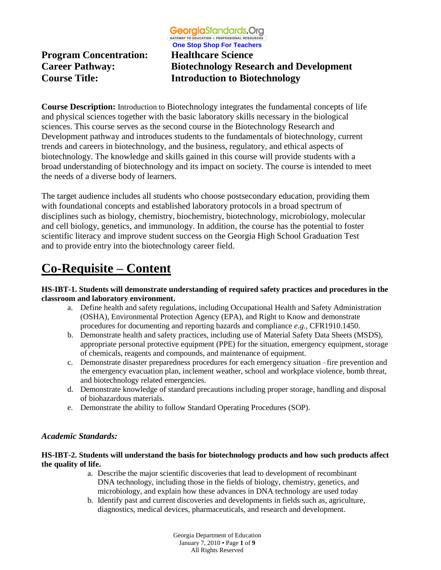**GATEWAY TO EDUCATION & PROFESSIONAL RESOURCE** 

**Program Concentration: Healthcare Science**

**One Stop Shop For Teachers Career Pathway: Biotechnology Research and Development Course Title: Introduction to Biotechnology**

**Course Description:** Introduction to Biotechnology integrates the fundamental concepts of life and physical sciences together with the basic laboratory skills necessary in the biological sciences. This course serves as the second course in the Biotechnology Research and Development pathway and introduces students to the fundamentals of biotechnology, current trends and careers in biotechnology, and the business, regulatory, and ethical aspects of biotechnology. The knowledge and skills gained in this course will provide students with a broad understanding of biotechnology and its impact on society. The course is intended to meet the needs of a diverse body of learners.

The target audience includes all students who choose postsecondary education, providing them with foundational concepts and established laboratory protocols in a broad spectrum of disciplines such as biology, chemistry, biochemistry, biotechnology, microbiology, molecular and cell biology, genetics, and immunology. In addition, the course has the potential to foster scientific literacy and improve student success on the Georgia High School Graduation Test and to provide entry into the biotechnology career field.

# **Co-Requisite – Content**

### **HS-IBT-1. Students will demonstrate understanding of required safety practices and procedures in the classroom and laboratory environment.**

- a. Define health and safety regulations, including Occupational Health and Safety Administration (OSHA), Environmental Protection Agency (EPA), and Right to Know and demonstrate procedures for documenting and reporting hazards and compliance *e.g.,* CFR1910.1450.
- b. Demonstrate health and safety practices, including use of Material Safety Data Sheets (MSDS), appropriate personal protective equipment (PPE) for the situation, emergency equipment, storage of chemicals, reagents and compounds, and maintenance of equipment.
- c. Demonstrate disaster preparedness procedures for each emergency situation –fire prevention and the emergency evacuation plan, inclement weather, school and workplace violence, bomb threat, and biotechnology related emergencies.
- d. Demonstrate knowledge of standard precautions including proper storage, handling and disposal of biohazardous materials.
- e. Demonstrate the ability to follow Standard Operating Procedures (SOP).

## *Academic Standards:*

### **HS-IBT-2. Students will understand the basis for biotechnology products and how such products affect the quality of life.**

- a. Describe the major scientific discoveries that lead to development of recombinant DNA technology, including those in the fields of biology, chemistry, genetics, and microbiology, and explain how these advances in DNA technology are used today
- b. Identify past and current discoveries and developments in fields such as, agriculture, diagnostics, medical devices, pharmaceuticals, and research and development.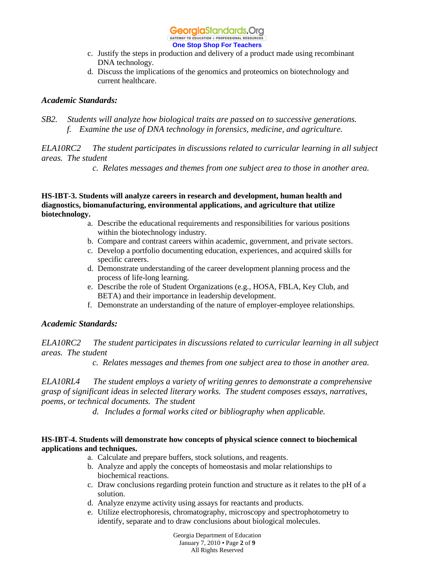#### GATEWAY TO EDUCATION & PROFESSIONAL RESOURCE **One Stop Shop For Teachers**

- c. Justify the steps in production and delivery of a product made using recombinant DNA technology.
- d. Discuss the implications of the genomics and proteomics on biotechnology and current healthcare.

### *Academic Standards:*

*SB2. Students will analyze how biological traits are passed on to successive generations. f. Examine the use of DNA technology in forensics, medicine, and agriculture.*

*ELA10RC2 The student participates in discussions related to curricular learning in all subject areas. The student*

*c. Relates messages and themes from one subject area to those in another area.* 

### **HS-IBT-3. Students will analyze careers in research and development, human health and diagnostics, biomanufacturing, environmental applications, and agriculture that utilize biotechnology.**

- a. Describe the educational requirements and responsibilities for various positions within the biotechnology industry.
- b. Compare and contrast careers within academic, government, and private sectors.
- c. Develop a portfolio documenting education, experiences, and acquired skills for specific careers.
- d. Demonstrate understanding of the career development planning process and the process of life-long learning.
- e. Describe the role of Student Organizations (e.g., HOSA, FBLA, Key Club, and BETA) and their importance in leadership development.
- f. Demonstrate an understanding of the nature of employer-employee relationships.

### *Academic Standards:*

*ELA10RC2 The student participates in discussions related to curricular learning in all subject areas. The student*

*c. Relates messages and themes from one subject area to those in another area.* 

*ELA10RL4 The student employs a variety of writing genres to demonstrate a comprehensive grasp of significant ideas in selected literary works. The student composes essays, narratives, poems, or technical documents. The student*

*d. Includes a formal works cited or bibliography when applicable.* 

### **HS-IBT-4. Students will demonstrate how concepts of physical science connect to biochemical applications and techniques.**

- a. Calculate and prepare buffers, stock solutions, and reagents.
- b. Analyze and apply the concepts of homeostasis and molar relationships to biochemical reactions.
- c. Draw conclusions regarding protein function and structure as it relates to the pH of a solution.
- d. Analyze enzyme activity using assays for reactants and products.
- e. Utilize electrophoresis, chromatography, microscopy and spectrophotometry to identify, separate and to draw conclusions about biological molecules.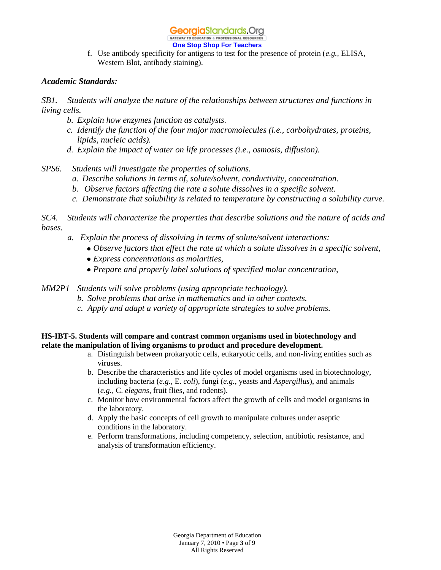### **One Stop Shop For Teachers**

f. Use antibody specificity for antigens to test for the presence of protein (*e.g.,* ELISA, Western Blot, antibody staining).

### *Academic Standards:*

*SB1. Students will analyze the nature of the relationships between structures and functions in living cells.*

- *b. Explain how enzymes function as catalysts.*
- *c. Identify the function of the four major macromolecules (i.e., carbohydrates, proteins, lipids, nucleic acids).*
- *d. Explain the impact of water on life processes (i.e., osmosis, diffusion).*
- *SPS6. Students will investigate the properties of solutions.*
	- *a. Describe solutions in terms of, solute/solvent, conductivity, concentration.*
	- *b. Observe factors affecting the rate a solute dissolves in a specific solvent.*
	- *c. Demonstrate that solubility is related to temperature by constructing a solubility curve.*

*SC4. Students will characterize the properties that describe solutions and the nature of acids and bases.*

- *a. Explain the process of dissolving in terms of solute/solvent interactions:*
	- *Observe factors that effect the rate at which a solute dissolves in a specific solvent,*
	- *Express concentrations as molarities,*
	- *Prepare and properly label solutions of specified molar concentration,*

*MM2P1 Students will solve problems (using appropriate technology).*

- *b. Solve problems that arise in mathematics and in other contexts.*
- *c. Apply and adapt a variety of appropriate strategies to solve problems.*

### **HS-IBT-5. Students will compare and contrast common organisms used in biotechnology and relate the manipulation of living organisms to product and procedure development.**

- a. Distinguish between prokaryotic cells, eukaryotic cells, and non-living entities such as viruses.
- b. Describe the characteristics and life cycles of model organisms used in biotechnology, including bacteria (*e.g.,* E. *coli*), fungi (*e.g.,* yeasts and *Aspergillus*), and animals (*e.g.,* C. *elegans*, fruit flies, and rodents).
- c. Monitor how environmental factors affect the growth of cells and model organisms in the laboratory.
- d. Apply the basic concepts of cell growth to manipulate cultures under aseptic conditions in the laboratory.
- e. Perform transformations, including competency, selection, antibiotic resistance, and analysis of transformation efficiency.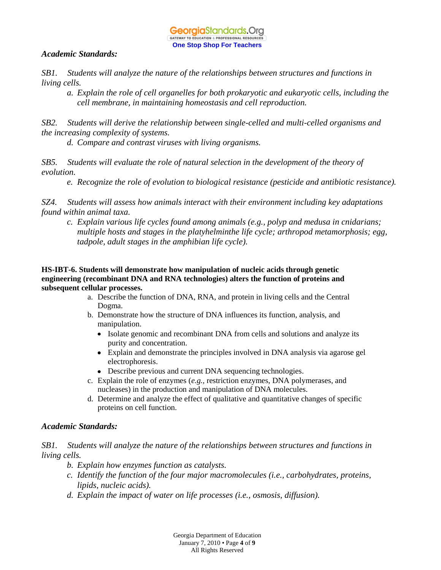### GeorgiaStandards.Org GATEWAY TO EDUCATION & PROFESSIONAL RESOURCE **One Stop Shop For Teachers**

### *Academic Standards:*

*SB1. Students will analyze the nature of the relationships between structures and functions in living cells.*

*a. Explain the role of cell organelles for both prokaryotic and eukaryotic cells, including the cell membrane, in maintaining homeostasis and cell reproduction.*

*SB2. Students will derive the relationship between single-celled and multi-celled organisms and the increasing complexity of systems.*

*d. Compare and contrast viruses with living organisms.*

*SB5. Students will evaluate the role of natural selection in the development of the theory of evolution.*

*e. Recognize the role of evolution to biological resistance (pesticide and antibiotic resistance).*

*SZ4. Students will assess how animals interact with their environment including key adaptations found within animal taxa.*

*c. Explain various life cycles found among animals (e.g., polyp and medusa in cnidarians; multiple hosts and stages in the platyhelminthe life cycle; arthropod metamorphosis; egg, tadpole, adult stages in the amphibian life cycle).*

### **HS-IBT-6. Students will demonstrate how manipulation of nucleic acids through genetic engineering (recombinant DNA and RNA technologies) alters the function of proteins and subsequent cellular processes.**

- a. Describe the function of DNA, RNA, and protein in living cells and the Central Dogma.
- b. Demonstrate how the structure of DNA influences its function, analysis, and manipulation.
	- Isolate genomic and recombinant DNA from cells and solutions and analyze its purity and concentration.
	- Explain and demonstrate the principles involved in DNA analysis via agarose gel electrophoresis.
	- Describe previous and current DNA sequencing technologies.
- c. Explain the role of enzymes (*e.g.,* restriction enzymes, DNA polymerases, and nucleases) in the production and manipulation of DNA molecules.
- d. Determine and analyze the effect of qualitative and quantitative changes of specific proteins on cell function.

### *Academic Standards:*

*SB1. Students will analyze the nature of the relationships between structures and functions in living cells.*

- *b. Explain how enzymes function as catalysts.*
- *c. Identify the function of the four major macromolecules (i.e., carbohydrates, proteins, lipids, nucleic acids).*
- *d. Explain the impact of water on life processes (i.e., osmosis, diffusion).*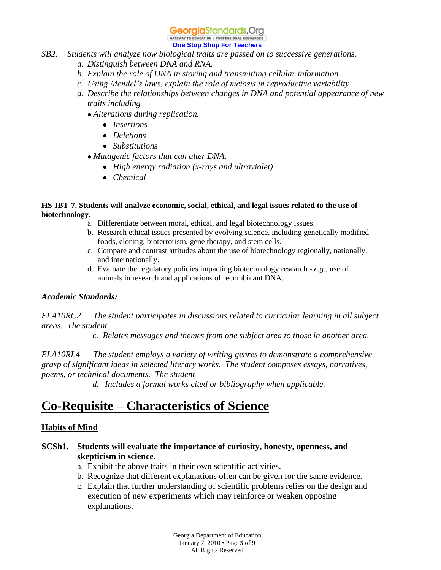GATEWAY TO EDUCATION & PROFESSIONAL RESOURCE **One Stop Shop For Teachers**

# *SB2. Students will analyze how biological traits are passed on to successive generations.*

- *a. Distinguish between DNA and RNA.*
- *b. Explain the role of DNA in storing and transmitting cellular information.*
- *c. Using Mendel's laws, explain the role of meiosis in reproductive variability.*
- *d. Describe the relationships between changes in DNA and potential appearance of new traits including*
	- *Alterations during replication.*
		- *Insertions*
		- *Deletions*
		- *Substitutions*
	- *Mutagenic factors that can alter DNA.*
		- *High energy radiation (x-rays and ultraviolet)*
		- *Chemical*

### **HS-IBT-7. Students will analyze economic, social, ethical, and legal issues related to the use of biotechnology.**

- a. Differentiate between moral, ethical, and legal biotechnology issues.
- b. Research ethical issues presented by evolving science, including genetically modified foods, cloning, bioterrorism, gene therapy, and stem cells.
- c. Compare and contrast attitudes about the use of biotechnology regionally, nationally, and internationally.
- d. Evaluate the regulatory policies impacting biotechnology research *e.g.,* use of animals in research and applications of recombinant DNA.

### *Academic Standards:*

*ELA10RC2 The student participates in discussions related to curricular learning in all subject areas. The student*

*c. Relates messages and themes from one subject area to those in another area.* 

*ELA10RL4 The student employs a variety of writing genres to demonstrate a comprehensive grasp of significant ideas in selected literary works. The student composes essays, narratives, poems, or technical documents. The student*

*d. Includes a formal works cited or bibliography when applicable.* 

# **Co-Requisite – Characteristics of Science**

## **Habits of Mind**

## **SCSh1. Students will evaluate the importance of curiosity, honesty, openness, and skepticism in science.**

- a. Exhibit the above traits in their own scientific activities.
- b. Recognize that different explanations often can be given for the same evidence.
- c. Explain that further understanding of scientific problems relies on the design and execution of new experiments which may reinforce or weaken opposing explanations.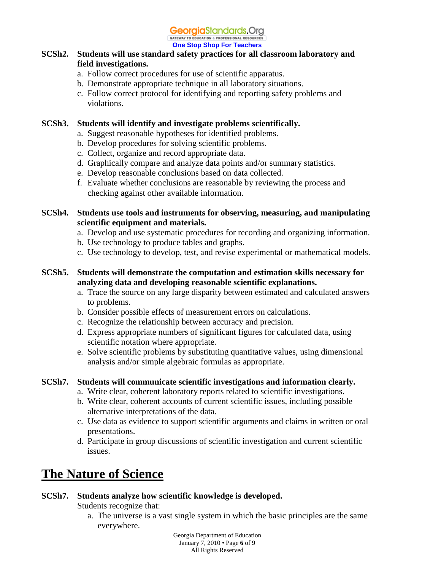GATEWAY TO EDUCATION & PROFESSIONAL RESOURCE **One Stop Shop For Teachers**

## **SCSh2. Students will use standard safety practices for all classroom laboratory and field investigations.**

- a. Follow correct procedures for use of scientific apparatus.
- b. Demonstrate appropriate technique in all laboratory situations.
- c. Follow correct protocol for identifying and reporting safety problems and violations.

## **SCSh3. Students will identify and investigate problems scientifically.**

- a. Suggest reasonable hypotheses for identified problems.
- b. Develop procedures for solving scientific problems.
- c. Collect, organize and record appropriate data.
- d. Graphically compare and analyze data points and/or summary statistics.
- e. Develop reasonable conclusions based on data collected.
- f. Evaluate whether conclusions are reasonable by reviewing the process and checking against other available information.

### **SCSh4. Students use tools and instruments for observing, measuring, and manipulating scientific equipment and materials.**

- a. Develop and use systematic procedures for recording and organizing information.
- b. Use technology to produce tables and graphs.
- c. Use technology to develop, test, and revise experimental or mathematical models.

## **SCSh5. Students will demonstrate the computation and estimation skills necessary for analyzing data and developing reasonable scientific explanations.**

- a. Trace the source on any large disparity between estimated and calculated answers to problems.
- b. Consider possible effects of measurement errors on calculations.
- c. Recognize the relationship between accuracy and precision.
- d. Express appropriate numbers of significant figures for calculated data, using scientific notation where appropriate.
- e. Solve scientific problems by substituting quantitative values, using dimensional analysis and/or simple algebraic formulas as appropriate.

## **SCSh7. Students will communicate scientific investigations and information clearly.**

- a. Write clear, coherent laboratory reports related to scientific investigations.
- b. Write clear, coherent accounts of current scientific issues, including possible alternative interpretations of the data.
- c. Use data as evidence to support scientific arguments and claims in written or oral presentations.
- d. Participate in group discussions of scientific investigation and current scientific issues.

# **The Nature of Science**

## **SCSh7. Students analyze how scientific knowledge is developed.**

Students recognize that:

a. The universe is a vast single system in which the basic principles are the same everywhere.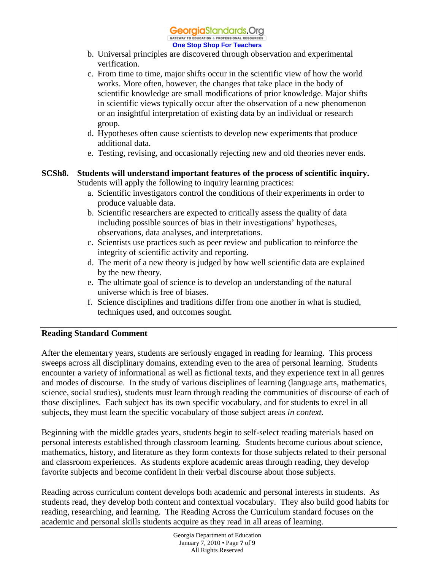#### GeorgiaStandards.Org GATEWAY TO EDUCATION & PROFESSIONAL RESOURC

### **One Stop Shop For Teachers**

- b. Universal principles are discovered through observation and experimental verification.
- c. From time to time, major shifts occur in the scientific view of how the world works. More often, however, the changes that take place in the body of scientific knowledge are small modifications of prior knowledge. Major shifts in scientific views typically occur after the observation of a new phenomenon or an insightful interpretation of existing data by an individual or research group.
- d. Hypotheses often cause scientists to develop new experiments that produce additional data.
- e. Testing, revising, and occasionally rejecting new and old theories never ends.
- **SCSh8. Students will understand important features of the process of scientific inquiry.** Students will apply the following to inquiry learning practices:
	- a. Scientific investigators control the conditions of their experiments in order to produce valuable data.
	- b. Scientific researchers are expected to critically assess the quality of data including possible sources of bias in their investigations' hypotheses, observations, data analyses, and interpretations.
	- c. Scientists use practices such as peer review and publication to reinforce the integrity of scientific activity and reporting.
	- d. The merit of a new theory is judged by how well scientific data are explained by the new theory.
	- e. The ultimate goal of science is to develop an understanding of the natural universe which is free of biases.
	- f. Science disciplines and traditions differ from one another in what is studied, techniques used, and outcomes sought.

## **Reading Standard Comment**

After the elementary years, students are seriously engaged in reading for learning. This process sweeps across all disciplinary domains, extending even to the area of personal learning. Students encounter a variety of informational as well as fictional texts, and they experience text in all genres and modes of discourse. In the study of various disciplines of learning (language arts, mathematics, science, social studies), students must learn through reading the communities of discourse of each of those disciplines. Each subject has its own specific vocabulary, and for students to excel in all subjects, they must learn the specific vocabulary of those subject areas *in context.*

Beginning with the middle grades years, students begin to self-select reading materials based on personal interests established through classroom learning. Students become curious about science, mathematics, history, and literature as they form contexts for those subjects related to their personal and classroom experiences. As students explore academic areas through reading, they develop favorite subjects and become confident in their verbal discourse about those subjects.

Reading across curriculum content develops both academic and personal interests in students. As students read, they develop both content and contextual vocabulary. They also build good habits for reading, researching, and learning. The Reading Across the Curriculum standard focuses on the academic and personal skills students acquire as they read in all areas of learning.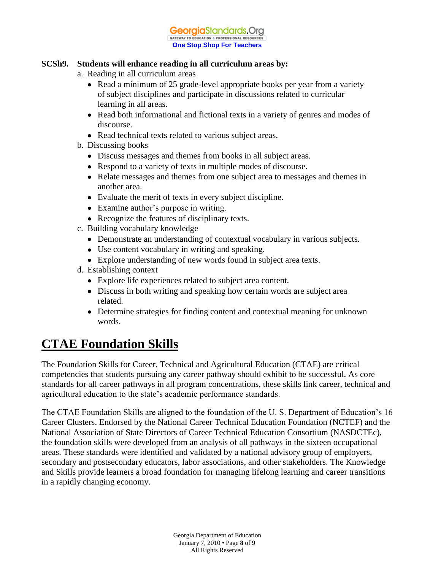#### **Georgia**Standards.Org GATEWAY TO EDUCATION & PROFESSIONAL RESOURCE **One Stop Shop For Teachers**

### **SCSh9. Students will enhance reading in all curriculum areas by:**

- a. Reading in all curriculum areas
	- Read a minimum of 25 grade-level appropriate books per year from a variety of subject disciplines and participate in discussions related to curricular learning in all areas.
	- Read both informational and fictional texts in a variety of genres and modes of discourse.
	- Read technical texts related to various subject areas.
- b. Discussing books
	- Discuss messages and themes from books in all subject areas.
	- Respond to a variety of texts in multiple modes of discourse.
	- Relate messages and themes from one subject area to messages and themes in another area.
	- Evaluate the merit of texts in every subject discipline.
	- Examine author's purpose in writing.
	- Recognize the features of disciplinary texts.
- c. Building vocabulary knowledge
	- Demonstrate an understanding of contextual vocabulary in various subjects.
	- Use content vocabulary in writing and speaking.
	- Explore understanding of new words found in subject area texts.
- d. Establishing context
	- Explore life experiences related to subject area content.
	- Discuss in both writing and speaking how certain words are subject area related.
	- Determine strategies for finding content and contextual meaning for unknown words.

# **CTAE Foundation Skills**

The Foundation Skills for Career, Technical and Agricultural Education (CTAE) are critical competencies that students pursuing any career pathway should exhibit to be successful. As core standards for all career pathways in all program concentrations, these skills link career, technical and agricultural education to the state's academic performance standards.

The CTAE Foundation Skills are aligned to the foundation of the U. S. Department of Education's 16 Career Clusters. Endorsed by the National Career Technical Education Foundation (NCTEF) and the National Association of State Directors of Career Technical Education Consortium (NASDCTEc), the foundation skills were developed from an analysis of all pathways in the sixteen occupational areas. These standards were identified and validated by a national advisory group of employers, secondary and postsecondary educators, labor associations, and other stakeholders. The Knowledge and Skills provide learners a broad foundation for managing lifelong learning and career transitions in a rapidly changing economy.